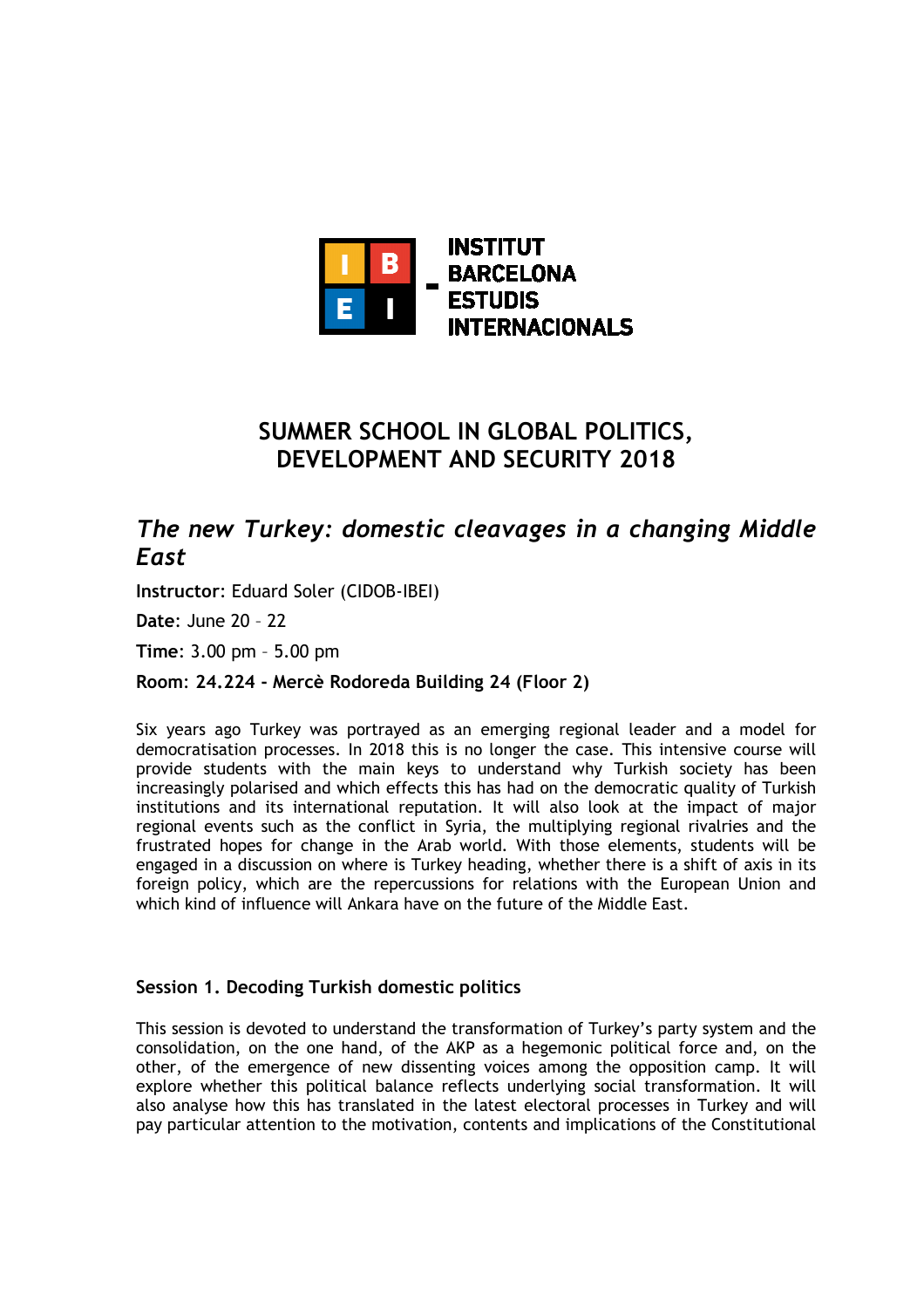

# **SUMMER SCHOOL IN GLOBAL POLITICS, DEVELOPMENT AND SECURITY 2018**

## *The new Turkey: domestic cleavages in a changing Middle East*

**Instructor**: Eduard Soler (CIDOB-IBEI)

**Date**: June 20 – 22

**Time**: 3.00 pm – 5.00 pm

## **Room**: **24.224 - Mercè Rodoreda Building 24 (Floor 2)**

Six years ago Turkey was portrayed as an emerging regional leader and a model for democratisation processes. In 2018 this is no longer the case. This intensive course will provide students with the main keys to understand why Turkish society has been increasingly polarised and which effects this has had on the democratic quality of Turkish institutions and its international reputation. It will also look at the impact of major regional events such as the conflict in Syria, the multiplying regional rivalries and the frustrated hopes for change in the Arab world. With those elements, students will be engaged in a discussion on where is Turkey heading, whether there is a shift of axis in its foreign policy, which are the repercussions for relations with the European Union and which kind of influence will Ankara have on the future of the Middle East.

### **Session 1. Decoding Turkish domestic politics**

This session is devoted to understand the transformation of Turkey's party system and the consolidation, on the one hand, of the AKP as a hegemonic political force and, on the other, of the emergence of new dissenting voices among the opposition camp. It will explore whether this political balance reflects underlying social transformation. It will also analyse how this has translated in the latest electoral processes in Turkey and will pay particular attention to the motivation, contents and implications of the Constitutional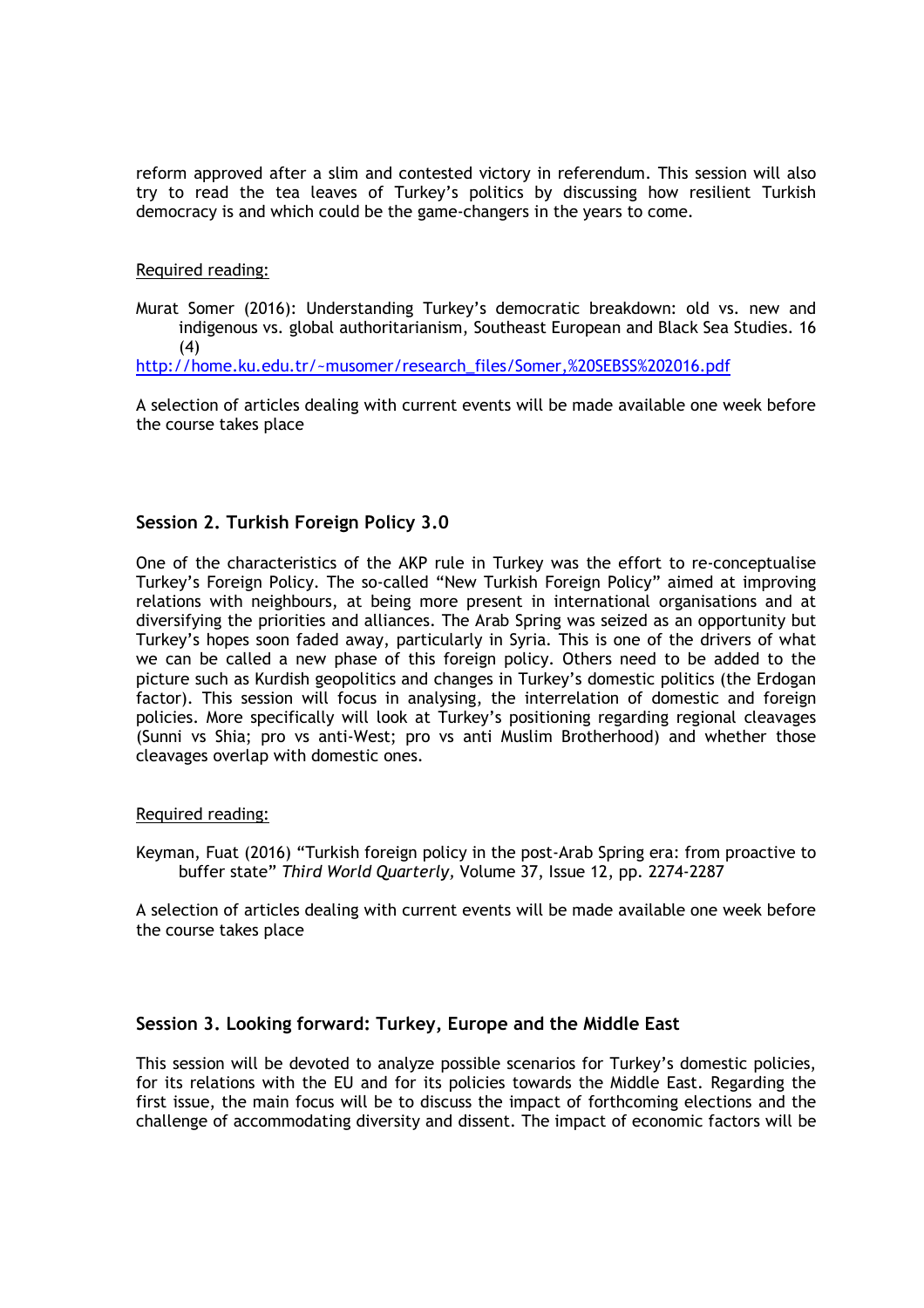reform approved after a slim and contested victory in referendum. This session will also try to read the tea leaves of Turkey's politics by discussing how resilient Turkish democracy is and which could be the game-changers in the years to come.

Required reading:

Murat Somer (2016): Understanding Turkey's democratic breakdown: old vs. new and indigenous vs. global authoritarianism, Southeast European and Black Sea Studies. 16 (4)

http://home.ku.edu.tr/~musomer/research\_files/Somer,%20SEBSS%202016.pdf

A selection of articles dealing with current events will be made available one week before the course takes place

### **Session 2. Turkish Foreign Policy 3.0**

One of the characteristics of the AKP rule in Turkey was the effort to re-conceptualise Turkey's Foreign Policy. The so-called "New Turkish Foreign Policy" aimed at improving relations with neighbours, at being more present in international organisations and at diversifying the priorities and alliances. The Arab Spring was seized as an opportunity but Turkey's hopes soon faded away, particularly in Syria. This is one of the drivers of what we can be called a new phase of this foreign policy. Others need to be added to the picture such as Kurdish geopolitics and changes in Turkey's domestic politics (the Erdogan factor). This session will focus in analysing, the interrelation of domestic and foreign policies. More specifically will look at Turkey's positioning regarding regional cleavages (Sunni vs Shia; pro vs anti-West; pro vs anti Muslim Brotherhood) and whether those cleavages overlap with domestic ones.

#### Required reading:

Keyman, Fuat (2016) "Turkish foreign policy in the post-Arab Spring era: from proactive to buffer state" *Third World Quarterly,* Volume 37, Issue 12, pp. 2274-2287

A selection of articles dealing with current events will be made available one week before the course takes place

### **Session 3. Looking forward: Turkey, Europe and the Middle East**

This session will be devoted to analyze possible scenarios for Turkey's domestic policies, for its relations with the EU and for its policies towards the Middle East. Regarding the first issue, the main focus will be to discuss the impact of forthcoming elections and the challenge of accommodating diversity and dissent. The impact of economic factors will be